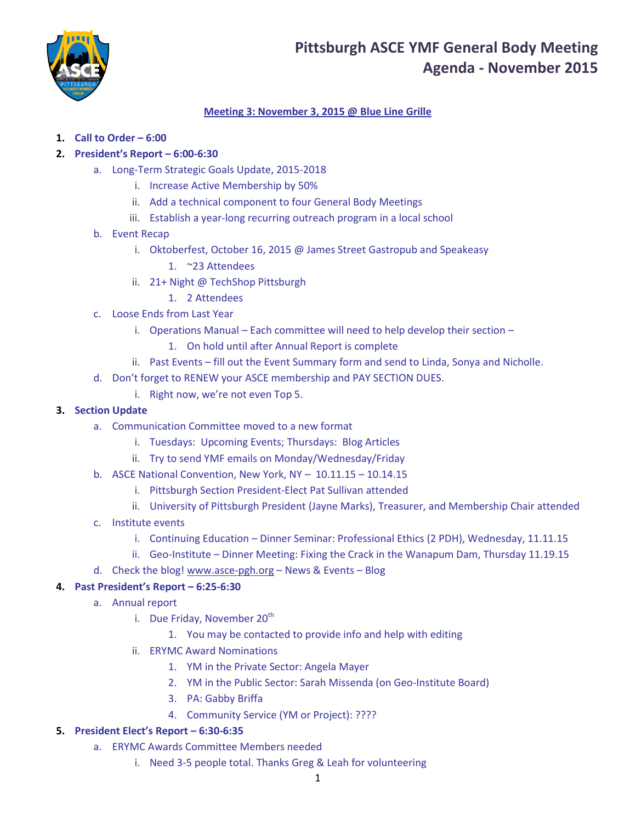

# **Pittsburgh ASCE YMF General Body Meeting Agenda - November 2015**

## **Meeting 3: November 3, 2015 @ Blue Line Grille**

**1. Call to Order – 6:00**

## **2. President's Report – 6:00-6:30**

- a. Long-Term Strategic Goals Update, 2015-2018
	- i. Increase Active Membership by 50%
	- ii. Add a technical component to four General Body Meetings
	- iii. Establish a year-long recurring outreach program in a local school
- b. Event Recap
	- i. Oktoberfest, October 16, 2015 @ James Street Gastropub and Speakeasy
		- 1. ~23 Attendees
	- ii. 21+ Night @ TechShop Pittsburgh
		- 1. 2 Attendees
- c. Loose Ends from Last Year
	- i. Operations Manual Each committee will need to help develop their section
		- 1. On hold until after Annual Report is complete
	- ii. Past Events fill out the Event Summary form and send to Linda, Sonya and Nicholle.
- d. Don't forget to RENEW your ASCE membership and PAY SECTION DUES.
	- i. Right now, we're not even Top 5.

### **3. Section Update**

- a. Communication Committee moved to a new format
	- i. Tuesdays: Upcoming Events; Thursdays: Blog Articles
	- ii. Try to send YMF emails on Monday/Wednesday/Friday
- b. ASCE National Convention, New York, NY 10.11.15 10.14.15
	- i. Pittsburgh Section President-Elect Pat Sullivan attended
	- ii. University of Pittsburgh President (Jayne Marks), Treasurer, and Membership Chair attended
- c. Institute events
	- i. Continuing Education Dinner Seminar: Professional Ethics (2 PDH), Wednesday, 11.11.15
	- ii. Geo-Institute Dinner Meeting: Fixing the Crack in the Wanapum Dam, Thursday 11.19.15
- d. Check the blog! [www.asce-pgh.org](http://www.asce-pgh.org/) News & Events Blog

#### **4. Past President's Report – 6:25-6:30**

- a. Annual report
	- i. Due Friday, November  $20<sup>th</sup>$ 
		- 1. You may be contacted to provide info and help with editing
	- ii. ERYMC Award Nominations
		- 1. YM in the Private Sector: Angela Mayer
		- 2. YM in the Public Sector: Sarah Missenda (on Geo-Institute Board)
		- 3. PA: Gabby Briffa
		- 4. Community Service (YM or Project): ????

#### **5. President Elect's Report – 6:30-6:35**

- a. ERYMC Awards Committee Members needed
	- i. Need 3-5 people total. Thanks Greg & Leah for volunteering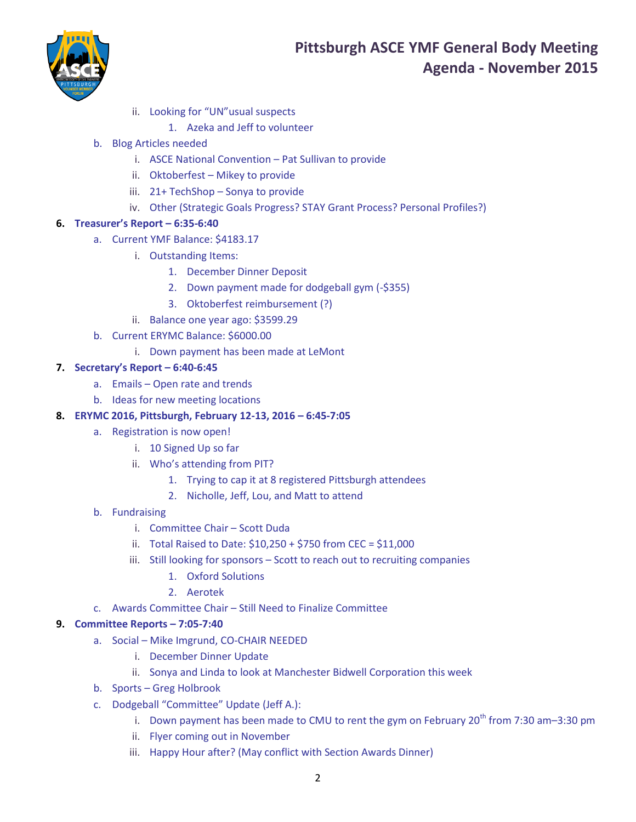

- ii. Looking for "UN"usual suspects
	- 1. Azeka and Jeff to volunteer
- b. Blog Articles needed
	- i. ASCE National Convention Pat Sullivan to provide
	- ii. Oktoberfest Mikey to provide
	- iii. 21+ TechShop Sonya to provide
	- iv. Other (Strategic Goals Progress? STAY Grant Process? Personal Profiles?)
- **6. Treasurer's Report – 6:35-6:40**
	- a. Current YMF Balance: \$4183.17
		- i. Outstanding Items:
			- 1. December Dinner Deposit
			- 2. Down payment made for dodgeball gym (-\$355)
			- 3. Oktoberfest reimbursement (?)
		- ii. Balance one year ago: \$3599.29
	- b. Current ERYMC Balance: \$6000.00
		- i. Down payment has been made at LeMont

## **7. Secretary's Report – 6:40-6:45**

- a. Emails Open rate and trends
- b. Ideas for new meeting locations
- **8. ERYMC 2016, Pittsburgh, February 12-13, 2016 – 6:45-7:05**
	- a. Registration is now open!
		- i. 10 Signed Up so far
		- ii. Who's attending from PIT?
			- 1. Trying to cap it at 8 registered Pittsburgh attendees
			- 2. Nicholle, Jeff, Lou, and Matt to attend
	- b. Fundraising
		- i. Committee Chair Scott Duda
		- ii. Total Raised to Date: \$10,250 + \$750 from CEC = \$11,000
		- iii. Still looking for sponsors Scott to reach out to recruiting companies
			- 1. Oxford Solutions
			- 2. Aerotek
	- c. Awards Committee Chair Still Need to Finalize Committee

## **9. Committee Reports – 7:05-7:40**

- a. Social Mike Imgrund, CO-CHAIR NEEDED
	- i. December Dinner Update
	- ii. Sonya and Linda to look at Manchester Bidwell Corporation this week
- b. Sports Greg Holbrook
- c. Dodgeball "Committee" Update (Jeff A.):
	- i. Down payment has been made to CMU to rent the gym on February  $20^{th}$  from 7:30 am–3:30 pm
	- ii. Flyer coming out in November
	- iii. Happy Hour after? (May conflict with Section Awards Dinner)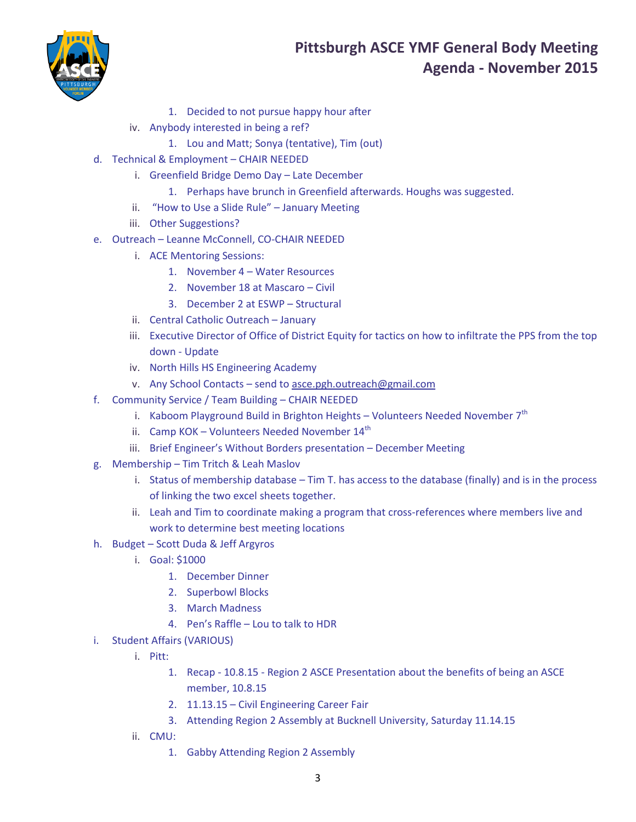

# **Pittsburgh ASCE YMF General Body Meeting Agenda - November 2015**

- 1. Decided to not pursue happy hour after
- iv. Anybody interested in being a ref?
	- 1. Lou and Matt; Sonya (tentative), Tim (out)
- d. Technical & Employment CHAIR NEEDED
	- i. Greenfield Bridge Demo Day Late December
		- 1. Perhaps have brunch in Greenfield afterwards. Houghs was suggested.
	- ii. "How to Use a Slide Rule" January Meeting
	- iii. Other Suggestions?
- e. Outreach Leanne McConnell, CO-CHAIR NEEDED
	- i. ACE Mentoring Sessions:
		- 1. November 4 Water Resources
		- 2. November 18 at Mascaro Civil
		- 3. December 2 at ESWP Structural
	- ii. Central Catholic Outreach January
	- iii. Executive Director of Office of District Equity for tactics on how to infiltrate the PPS from the top down - Update
	- iv. North Hills HS Engineering Academy
	- v. Any School Contacts send to [asce.pgh.outreach@gmail.com](mailto:asce.pgh.outreach@gmail.com)
- f. Community Service / Team Building CHAIR NEEDED
	- i. Kaboom Playground Build in Brighton Heights Volunteers Needed November  $7<sup>th</sup>$
	- ii. Camp KOK Volunteers Needed November  $14<sup>th</sup>$
	- iii. Brief Engineer's Without Borders presentation December Meeting
- g. Membership Tim Tritch & Leah Maslov
	- i. Status of membership database Tim T. has access to the database (finally) and is in the process of linking the two excel sheets together.
	- ii. Leah and Tim to coordinate making a program that cross-references where members live and work to determine best meeting locations
- h. Budget Scott Duda & Jeff Argyros
	- i. Goal: \$1000
		- 1. December Dinner
		- 2. Superbowl Blocks
		- 3. March Madness
		- 4. Pen's Raffle Lou to talk to HDR
- i. Student Affairs (VARIOUS)
	- i. Pitt:
		- 1. Recap 10.8.15 Region 2 ASCE Presentation about the benefits of being an ASCE member, 10.8.15
		- 2. 11.13.15 Civil Engineering Career Fair
		- 3. Attending Region 2 Assembly at Bucknell University, Saturday 11.14.15
	- ii. CMU:
		- 1. Gabby Attending Region 2 Assembly